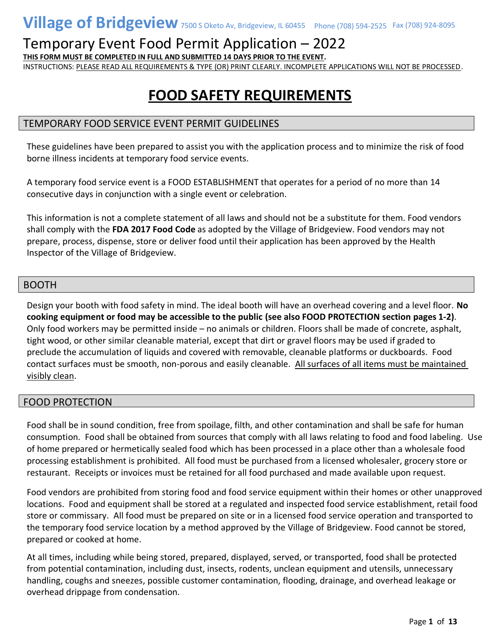**THIS FORM MUST BE COMPLETED IN FULL AND SUBMITTED 14 DAYS PRIOR TO THE EVENT.**

INSTRUCTIONS: PLEASE READ ALL REQUIREMENTS & TYPE (OR) PRINT CLEARLY. INCOMPLETE APPLICATIONS WILL NOT BE PROCESSED.

## **FOOD SAFETY REQUIREMENTS**

#### TEMPORARY FOOD SERVICE EVENT PERMIT GUIDELINES

These guidelines have been prepared to assist you with the application process and to minimize the risk of food borne illness incidents at temporary food service events.

A temporary food service event is a FOOD ESTABLISHMENT that operates for a period of no more than 14 consecutive days in conjunction with a single event or celebration.

This information is not a complete statement of all laws and should not be a substitute for them. Food vendors shall comply with the **FDA 2017 Food Code** as adopted by the Village of Bridgeview. Food vendors may not prepare, process, dispense, store or deliver food until their application has been approved by the Health Inspector of the Village of Bridgeview.

#### **BOOTH**

Design your booth with food safety in mind. The ideal booth will have an overhead covering and a level floor. **No cooking equipment or food may be accessible to the public (see also FOOD PROTECTION section pages 1-2)**. Only food workers may be permitted inside – no animals or children. Floors shall be made of concrete, asphalt, tight wood, or other similar cleanable material, except that dirt or gravel floors may be used if graded to preclude the accumulation of liquids and covered with removable, cleanable platforms or duckboards. Food contact surfaces must be smooth, non-porous and easily cleanable. All surfaces of all items must be maintained visibly clean.

#### FOOD PROTECTION

Food shall be in sound condition, free from spoilage, filth, and other contamination and shall be safe for human consumption. Food shall be obtained from sources that comply with all laws relating to food and food labeling. Use of home prepared or hermetically sealed food which has been processed in a place other than a wholesale food processing establishment is prohibited. All food must be purchased from a licensed wholesaler, grocery store or restaurant. Receipts or invoices must be retained for all food purchased and made available upon request.

Food vendors are prohibited from storing food and food service equipment within their homes or other unapproved locations. Food and equipment shall be stored at a regulated and inspected food service establishment, retail food store or commissary. All food must be prepared on site or in a licensed food service operation and transported to the temporary food service location by a method approved by the Village of Bridgeview. Food cannot be stored, prepared or cooked at home.

At all times, including while being stored, prepared, displayed, served, or transported, food shall be protected from potential contamination, including dust, insects, rodents, unclean equipment and utensils, unnecessary handling, coughs and sneezes, possible customer contamination, flooding, drainage, and overhead leakage or overhead drippage from condensation.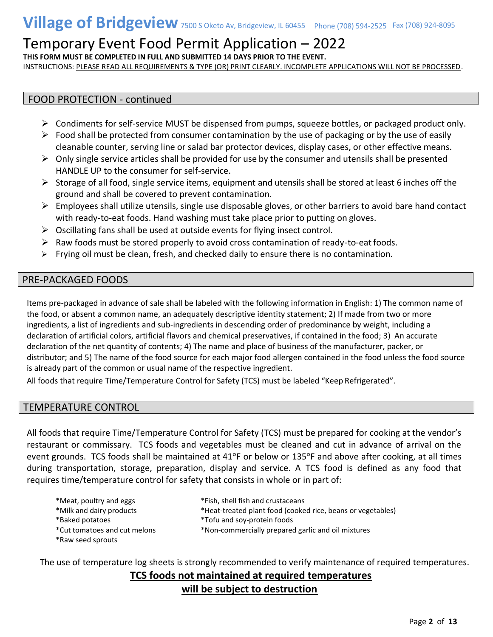**THIS FORM MUST BE COMPLETED IN FULL AND SUBMITTED 14 DAYS PRIOR TO THE EVENT.**

INSTRUCTIONS: PLEASE READ ALL REQUIREMENTS & TYPE (OR) PRINT CLEARLY. INCOMPLETE APPLICATIONS WILL NOT BE PROCESSED.

#### FOOD PROTECTION - continued

- ➢ Condiments for self-service MUST be dispensed from pumps, squeeze bottles, or packaged product only.
- $\triangleright$  Food shall be protected from consumer contamination by the use of packaging or by the use of easily cleanable counter, serving line or salad bar protector devices, display cases, or other effective means.
- $\triangleright$  Only single service articles shall be provided for use by the consumer and utensils shall be presented HANDLE UP to the consumer for self-service.
- $\triangleright$  Storage of all food, single service items, equipment and utensils shall be stored at least 6 inches off the ground and shall be covered to prevent contamination.
- $\triangleright$  Employees shall utilize utensils, single use disposable gloves, or other barriers to avoid bare hand contact with ready-to-eat foods. Hand washing must take place prior to putting on gloves.
- ➢ Oscillating fans shall be used at outside events for flying insect control.
- $\triangleright$  Raw foods must be stored properly to avoid cross contamination of ready-to-eat foods.
- $\triangleright$  Frying oil must be clean, fresh, and checked daily to ensure there is no contamination.

#### PRE-PACKAGED FOODS

Items pre-packaged in advance of sale shall be labeled with the following information in English: 1) The common name of the food, or absent a common name, an adequately descriptive identity statement; 2) If made from two or more ingredients, a list of ingredients and sub-ingredients in descending order of predominance by weight, including a declaration of artificial colors, artificial flavors and chemical preservatives, if contained in the food; 3) An accurate declaration of the net quantity of contents; 4) The name and place of business of the manufacturer, packer, or distributor; and 5) The name of the food source for each major food allergen contained in the food unless the food source is already part of the common or usual name of the respective ingredient.

All foods that require Time/Temperature Control for Safety (TCS) must be labeled "Keep Refrigerated".

#### TEMPERATURE CONTROL

All foods that require Time/Temperature Control for Safety (TCS) must be prepared for cooking at the vendor's restaurant or commissary. TCS foods and vegetables must be cleaned and cut in advance of arrival on the event grounds. TCS foods shall be maintained at 41°F or below or 135°F and above after cooking, at all times during transportation, storage, preparation, display and service. A TCS food is defined as any food that requires time/temperature control for safety that consists in whole or in part of:

| *Meat, poultry and eggs                           | *Fish, shell fish and crustaceans                           |
|---------------------------------------------------|-------------------------------------------------------------|
| *Milk and dairy products                          | *Heat-treated plant food (cooked rice, beans or vegetables) |
| *Baked potatoes                                   | *Tofu and soy-protein foods                                 |
| *Cut tomatoes and cut melons<br>*Raw seed sprouts | *Non-commercially prepared garlic and oil mixtures          |

The use of temperature log sheets is strongly recommended to verify maintenance of required temperatures.  **TCS foods not maintained at required temperatures**

#### **will be subject to destruction**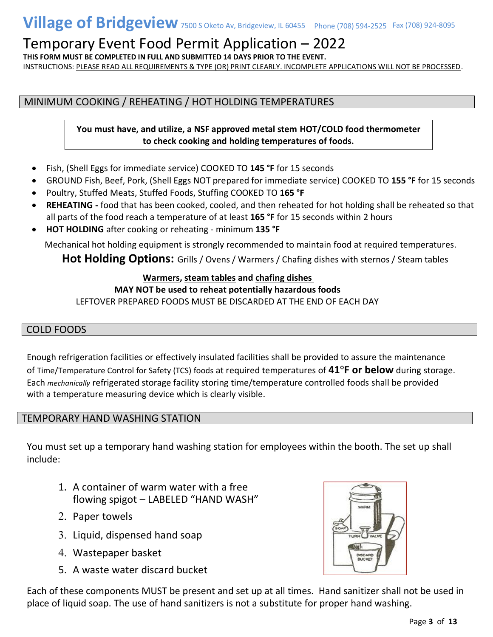**THIS FORM MUST BE COMPLETED IN FULL AND SUBMITTED 14 DAYS PRIOR TO THE EVENT.**

INSTRUCTIONS: PLEASE READ ALL REQUIREMENTS & TYPE (OR) PRINT CLEARLY. INCOMPLETE APPLICATIONS WILL NOT BE PROCESSED.

### MINIMUM COOKING / REHEATING / HOT HOLDING TEMPERATURES

**You must have, and utilize, a NSF approved metal stem HOT/COLD food thermometer to check cooking and holding temperatures of foods.**

- Fish, (Shell Eggs for immediate service) COOKED TO **145 °F** for 15 seconds
- GROUND Fish, Beef, Pork, (Shell Eggs NOT prepared for immediate service) COOKED TO **155 °F** for 15 seconds
- Poultry, Stuffed Meats, Stuffed Foods, Stuffing COOKED TO **165 °F**
- **REHEATING -** food that has been cooked, cooled, and then reheated for hot holding shall be reheated so that all parts of the food reach a temperature of at least **165 °F** for 15 seconds within 2 hours
- **HOT HOLDING** after cooking or reheating minimum **135 °F**

Mechanical hot holding equipment is strongly recommended to maintain food at required temperatures.

Hot Holding Options: Grills / Ovens / Warmers / Chafing dishes with sternos / Steam tables

#### **Warmers, steam tables and chafing dishes**

#### **MAY NOT be used to reheat potentially hazardous foods**

LEFTOVER PREPARED FOODS MUST BE DISCARDED AT THE END OF EACH DAY

#### COLD FOODS

Enough refrigeration facilities or effectively insulated facilities shall be provided to assure the maintenance of Time/Temperature Control for Safety (TCS) foods at required temperatures of **41°F or below** during storage. Each *mechanically* refrigerated storage facility storing time/temperature controlled foods shall be provided with a temperature measuring device which is clearly visible.

#### TEMPORARY HAND WASHING STATION

You must set up a temporary hand washing station for employees within the booth. The set up shall include:

- 1. A container of warm water with a free flowing spigot – LABELED "HAND WASH"
- 2. Paper towels
- 3. Liquid, dispensed hand soap
- Wastepaper basket
- 5. A waste water discard bucket

Each of these components MUST be present and set up at all times. Hand sanitizer shall not be used in place of liquid soap. The use of hand sanitizers is not a substitute for proper hand washing.

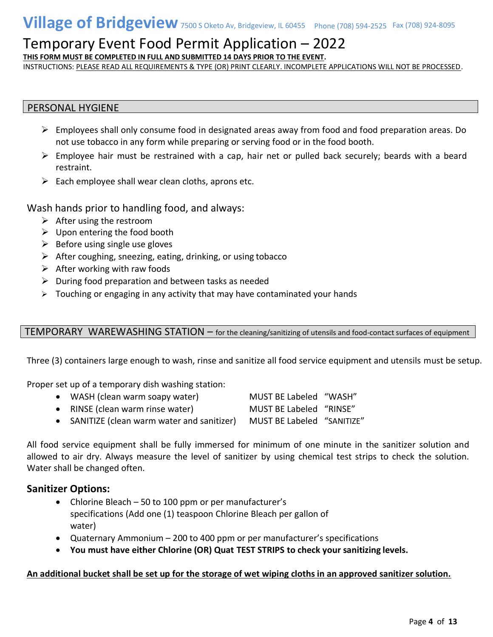**THIS FORM MUST BE COMPLETED IN FULL AND SUBMITTED 14 DAYS PRIOR TO THE EVENT.**

INSTRUCTIONS: PLEASE READ ALL REQUIREMENTS & TYPE (OR) PRINT CLEARLY. INCOMPLETE APPLICATIONS WILL NOT BE PROCESSED.

#### PERSONAL HYGIENE

- ➢ Employees shall only consume food in designated areas away from food and food preparation areas. Do not use tobacco in any form while preparing or serving food or in the food booth.
- $\triangleright$  Employee hair must be restrained with a cap, hair net or pulled back securely; beards with a beard restraint.
- $\triangleright$  Each employee shall wear clean cloths, aprons etc.

Wash hands prior to handling food, and always:

- $\triangleright$  After using the restroom
- $\triangleright$  Upon entering the food booth
- $\triangleright$  Before using single use gloves
- $\triangleright$  After coughing, sneezing, eating, drinking, or using tobacco
- $\triangleright$  After working with raw foods
- $\triangleright$  During food preparation and between tasks as needed
- $\triangleright$  Touching or engaging in any activity that may have contaminated your hands

#### TEMPORARY WAREWASHING STATION – for the cleaning/sanitizing of utensils and food-contact surfaces of equipment

Three (3) containers large enough to wash, rinse and sanitize all food service equipment and utensils must be setup.

Proper set up of a temporary dish washing station:

- WASH (clean warm soapy water) MUST BE Labeled "WASH" • RINSE (clean warm rinse water) MUST BE Labeled "RINSE"
- SANITIZE (clean warm water and sanitizer) MUST BE Labeled "SANITIZE"

All food service equipment shall be fully immersed for minimum of one minute in the sanitizer solution and allowed to air dry. Always measure the level of sanitizer by using chemical test strips to check the solution. Water shall be changed often.

#### **Sanitizer Options:**

- Chlorine Bleach 50 to 100 ppm or per manufacturer's specifications (Add one (1) teaspoon Chlorine Bleach per gallon of water)
- Quaternary Ammonium 200 to 400 ppm or per manufacturer's specifications
- **You must have either Chlorine (OR) Quat TEST STRIPS to check your sanitizing levels.**

#### **An additional bucket shall be set up for the storage of wet wiping cloths in an approved sanitizer solution.**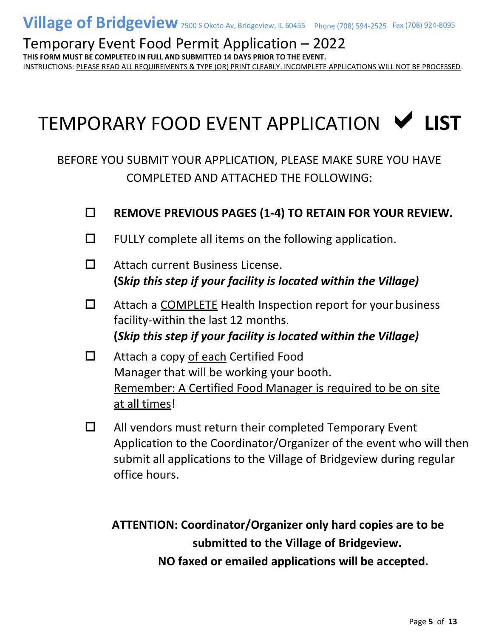**THIS FORM MUST BE COMPLETED IN FULL AND SUBMITTED 14 DAYS PRIOR TO THE EVENT.**

INSTRUCTIONS: PLEASE READ ALL REQUIREMENTS & TYPE (OR) PRINT CLEARLY. INCOMPLETE APPLICATIONS WILL NOT BE PROCESSED.

# TEMPORARY FOOD EVENT APPLICATION **LIST**

BEFORE YOU SUBMIT YOUR APPLICATION, PLEASE MAKE SURE YOU HAVE COMPLETED AND ATTACHED THE FOLLOWING:

- **REMOVE PREVIOUS PAGES (1-4) TO RETAIN FOR YOUR REVIEW.**
- $\Box$  FULLY complete all items on the following application.
- □ Attach current Business License. **(S***kip this step if your facility is located within the Village)*
- $\Box$  Attach a COMPLETE Health Inspection report for your business facility-within the last 12 months. **(***Skip this step if your facility is located within the Village)*
- $\Box$  Attach a copy of each Certified Food Manager that will be working your booth. Remember: A Certified Food Manager is required to be on site at all times!
- $\Box$  All vendors must return their completed Temporary Event Application to the Coordinator/Organizer of the event who will then submit all applications to the Village of Bridgeview during regular office hours.

**ATTENTION: Coordinator/Organizer only hard copies are to be submitted to the Village of Bridgeview. NO faxed or emailed applications will be accepted.**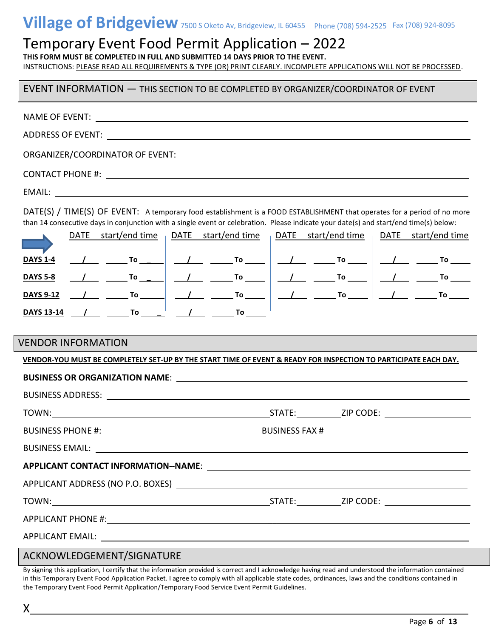# **Village of Bridgeview** 7500 S Oketo Av, Bridgeview, IL 60455 Phone (708) 594-2525 Fax (708) 924-8095

### Temporary Event Food Permit Application – 2022

**THIS FORM MUST BE COMPLETED IN FULL AND SUBMITTED 14 DAYS PRIOR TO THE EVENT.**

INSTRUCTIONS: PLEASE READ ALL REQUIREMENTS & TYPE (OR) PRINT CLEARLY. INCOMPLETE APPLICATIONS WILL NOT BE PROCESSED.

#### EVENT INFORMATION — THIS SECTION TO BE COMPLETED BY ORGANIZER/COORDINATOR OF EVENT

| DATE(S) / TIME(S) OF EVENT: A temporary food establishment is a FOOD ESTABLISHMENT that operates for a period of no more<br>than 14 consecutive days in conjunction with a single event or celebration. Please indicate your date(s) and start/end time(s) below: |  |  |  |
|-------------------------------------------------------------------------------------------------------------------------------------------------------------------------------------------------------------------------------------------------------------------|--|--|--|
| DATE start/end time pDATE start/end time pDATE start/end time pDATE start/end time                                                                                                                                                                                |  |  |  |
| <u>DAYS 1-4</u>                                                                                                                                                                                                                                                   |  |  |  |
| <b>DAYS 5-8</b>                                                                                                                                                                                                                                                   |  |  |  |
| <u>DAYS 9-12 / June To Jule June To Jule Jule To Jule Jule To Jule</u>                                                                                                                                                                                            |  |  |  |
| <u>DAYS 13-14 / To J J J</u> To To                                                                                                                                                                                                                                |  |  |  |
|                                                                                                                                                                                                                                                                   |  |  |  |
| <b>VENDOR INFORMATION</b>                                                                                                                                                                                                                                         |  |  |  |
| VENDOR-YOU MUST BE COMPLETELY SET-UP BY THE START TIME OF EVENT & READY FOR INSPECTION TO PARTICIPATE EACH DAY.                                                                                                                                                   |  |  |  |
|                                                                                                                                                                                                                                                                   |  |  |  |
|                                                                                                                                                                                                                                                                   |  |  |  |
|                                                                                                                                                                                                                                                                   |  |  |  |
|                                                                                                                                                                                                                                                                   |  |  |  |
| BUSINESS EMAIL: And the contract of the contract of the contract of the contract of the contract of the contract of the contract of the contract of the contract of the contract of the contract of the contract of the contra                                    |  |  |  |
| <b>APPLICANT CONTACT INFORMATION--NAME:</b>                                                                                                                                                                                                                       |  |  |  |
|                                                                                                                                                                                                                                                                   |  |  |  |
|                                                                                                                                                                                                                                                                   |  |  |  |
|                                                                                                                                                                                                                                                                   |  |  |  |
|                                                                                                                                                                                                                                                                   |  |  |  |
| U FDCF11F1T/C1CH11T                                                                                                                                                                                                                                               |  |  |  |

ACKNOWLEDGEMENT/SIGNATURE

X

By signing this application, I certify that the information provided is correct and I acknowledge having read and understood the information contained in this Temporary Event Food Application Packet. I agree to comply with all applicable state codes, ordinances, laws and the conditions contained in the Temporary Event Food Permit Application/Temporary Food Service Event Permit Guidelines.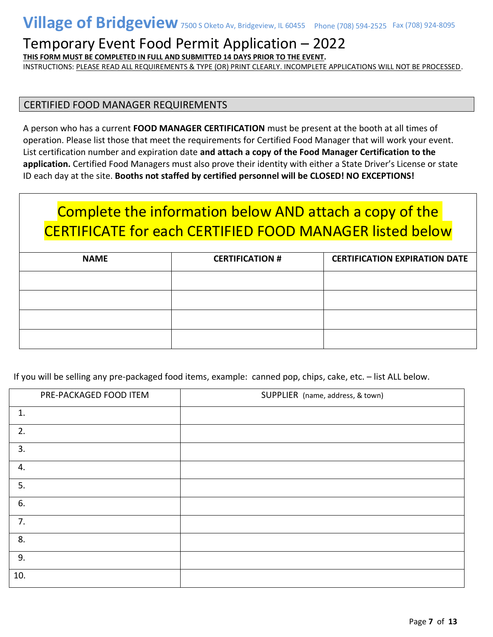**THIS FORM MUST BE COMPLETED IN FULL AND SUBMITTED 14 DAYS PRIOR TO THE EVENT.**

INSTRUCTIONS: PLEASE READ ALL REQUIREMENTS & TYPE (OR) PRINT CLEARLY. INCOMPLETE APPLICATIONS WILL NOT BE PROCESSED.

#### CERTIFIED FOOD MANAGER REQUIREMENTS

A person who has a current **FOOD MANAGER CERTIFICATION** must be present at the booth at all times of operation. Please list those that meet the requirements for Certified Food Manager that will work your event. List certification number and expiration date **and attach a copy of the Food Manager Certification to the application.** Certified Food Managers must also prove their identity with either a State Driver's License or state ID each day at the site. **Booths not staffed by certified personnel will be CLOSED! NO EXCEPTIONS!**

# Complete the information below AND attach a copy of the CERTIFICATE for each CERTIFIED FOOD MANAGER listed below

| <b>NAME</b> | <b>CERTIFICATION #</b> | <b>CERTIFICATION EXPIRATION DATE</b> |
|-------------|------------------------|--------------------------------------|
|             |                        |                                      |
|             |                        |                                      |
|             |                        |                                      |
|             |                        |                                      |

If you will be selling any pre-packaged food items, example: canned pop, chips, cake, etc. – list ALL below.

|     | PRE-PACKAGED FOOD ITEM | SUPPLIER (name, address, & town) |
|-----|------------------------|----------------------------------|
| 1.  |                        |                                  |
| 2.  |                        |                                  |
| 3.  |                        |                                  |
| 4.  |                        |                                  |
| 5.  |                        |                                  |
| 6.  |                        |                                  |
| 7.  |                        |                                  |
| 8.  |                        |                                  |
| 9.  |                        |                                  |
| 10. |                        |                                  |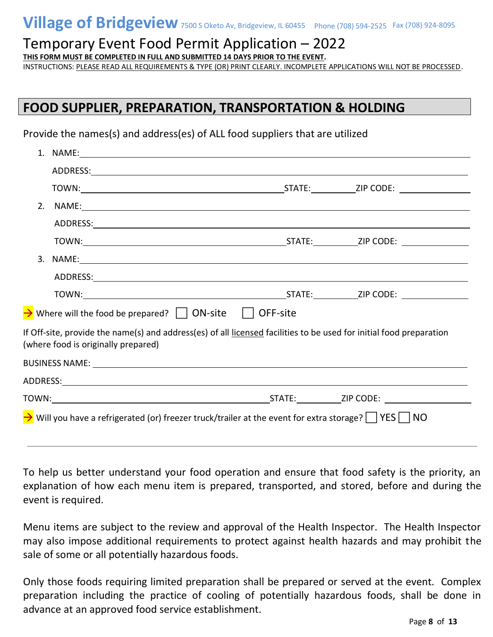**THIS FORM MUST BE COMPLETED IN FULL AND SUBMITTED 14 DAYS PRIOR TO THE EVENT.**

INSTRUCTIONS: PLEASE READ ALL REQUIREMENTS & TYPE (OR) PRINT CLEARLY. INCOMPLETE APPLICATIONS WILL NOT BE PROCESSED.

### **FOOD SUPPLIER, PREPARATION, TRANSPORTATION & HOLDING**

Provide the names(s) and address(es) of ALL food suppliers that are utilized

| 2. |                                                                                                                                                            |  |
|----|------------------------------------------------------------------------------------------------------------------------------------------------------------|--|
|    |                                                                                                                                                            |  |
|    |                                                                                                                                                            |  |
|    |                                                                                                                                                            |  |
|    |                                                                                                                                                            |  |
|    |                                                                                                                                                            |  |
|    | $\rightarrow$ Where will the food be prepared? $\Box$ ON-site $\Box$ OFF-site                                                                              |  |
|    | If Off-site, provide the name(s) and address(es) of all licensed facilities to be used for initial food preparation<br>(where food is originally prepared) |  |
|    |                                                                                                                                                            |  |
|    |                                                                                                                                                            |  |
|    |                                                                                                                                                            |  |
|    | $\rightarrow$ Will you have a refrigerated (or) freezer truck/trailer at the event for extra storage? $\Box$ YES $\Box$ NO                                 |  |

To help us better understand your food operation and ensure that food safety is the priority, an explanation of how each menu item is prepared, transported, and stored, before and during the event is required.

Menu items are subject to the review and approval of the Health Inspector. The Health Inspector may also impose additional requirements to protect against health hazards and may prohibit the sale of some or all potentially hazardous foods.

Only those foods requiring limited preparation shall be prepared or served at the event. Complex preparation including the practice of cooling of potentially hazardous foods, shall be done in advance at an approved food service establishment.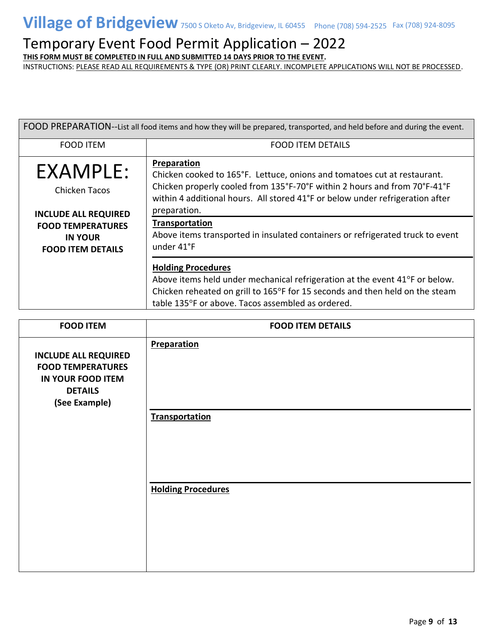**THIS FORM MUST BE COMPLETED IN FULL AND SUBMITTED 14 DAYS PRIOR TO THE EVENT.**

| FOOD PREPARATION--List all food items and how they will be prepared, transported, and held before and during the event.                   |                                                                                                                                                                                                                                                                                                                                                                                         |  |
|-------------------------------------------------------------------------------------------------------------------------------------------|-----------------------------------------------------------------------------------------------------------------------------------------------------------------------------------------------------------------------------------------------------------------------------------------------------------------------------------------------------------------------------------------|--|
| <b>FOOD ITEM</b>                                                                                                                          | <b>FOOD ITEM DETAILS</b>                                                                                                                                                                                                                                                                                                                                                                |  |
| EXAMPLE:<br><b>Chicken Tacos</b><br><b>INCLUDE ALL REQUIRED</b><br><b>FOOD TEMPERATURES</b><br><b>IN YOUR</b><br><b>FOOD ITEM DETAILS</b> | Preparation<br>Chicken cooked to 165°F. Lettuce, onions and tomatoes cut at restaurant.<br>Chicken properly cooled from 135°F-70°F within 2 hours and from 70°F-41°F<br>within 4 additional hours. All stored 41°F or below under refrigeration after<br>preparation.<br>Transportation<br>Above items transported in insulated containers or refrigerated truck to event<br>under 41°F |  |
|                                                                                                                                           | <b>Holding Procedures</b><br>Above items held under mechanical refrigeration at the event 41°F or below.<br>Chicken reheated on grill to $165^{\circ}$ F for 15 seconds and then held on the steam<br>table 135°F or above. Tacos assembled as ordered.                                                                                                                                 |  |

| <b>FOOD ITEM</b>                                                                                                | <b>FOOD ITEM DETAILS</b>  |
|-----------------------------------------------------------------------------------------------------------------|---------------------------|
| <b>INCLUDE ALL REQUIRED</b><br><b>FOOD TEMPERATURES</b><br>IN YOUR FOOD ITEM<br><b>DETAILS</b><br>(See Example) | Preparation               |
|                                                                                                                 | <b>Transportation</b>     |
|                                                                                                                 | <b>Holding Procedures</b> |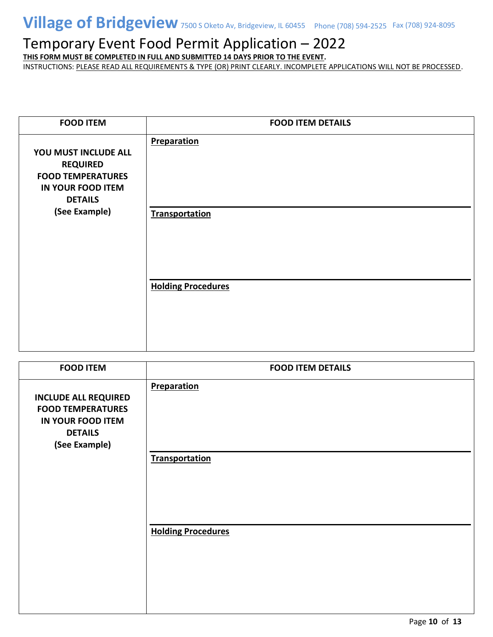**THIS FORM MUST BE COMPLETED IN FULL AND SUBMITTED 14 DAYS PRIOR TO THE EVENT.**

| <b>FOOD ITEM</b>                                                                                           | <b>FOOD ITEM DETAILS</b>  |
|------------------------------------------------------------------------------------------------------------|---------------------------|
| YOU MUST INCLUDE ALL<br><b>REQUIRED</b><br><b>FOOD TEMPERATURES</b><br>IN YOUR FOOD ITEM<br><b>DETAILS</b> | <b>Preparation</b>        |
| (See Example)                                                                                              | <b>Transportation</b>     |
|                                                                                                            | <b>Holding Procedures</b> |

| <b>FOOD ITEM</b>                                                                                                       | <b>FOOD ITEM DETAILS</b>  |
|------------------------------------------------------------------------------------------------------------------------|---------------------------|
| <b>INCLUDE ALL REQUIRED</b><br><b>FOOD TEMPERATURES</b><br><b>IN YOUR FOOD ITEM</b><br><b>DETAILS</b><br>(See Example) | Preparation               |
|                                                                                                                        | <b>Transportation</b>     |
|                                                                                                                        | <b>Holding Procedures</b> |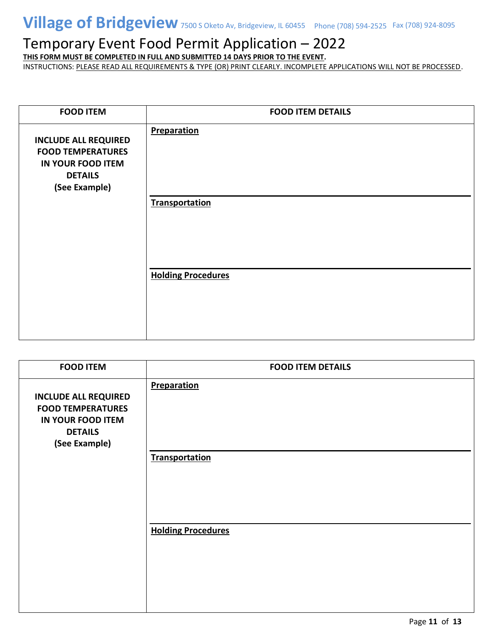**THIS FORM MUST BE COMPLETED IN FULL AND SUBMITTED 14 DAYS PRIOR TO THE EVENT.**

| <b>FOOD ITEM</b>                                                                                                       | <b>FOOD ITEM DETAILS</b>  |
|------------------------------------------------------------------------------------------------------------------------|---------------------------|
| <b>INCLUDE ALL REQUIRED</b><br><b>FOOD TEMPERATURES</b><br><b>IN YOUR FOOD ITEM</b><br><b>DETAILS</b><br>(See Example) | <b>Preparation</b>        |
|                                                                                                                        | <b>Transportation</b>     |
|                                                                                                                        | <b>Holding Procedures</b> |

| <b>FOOD ITEM</b>                                                                                                | <b>FOOD ITEM DETAILS</b>  |
|-----------------------------------------------------------------------------------------------------------------|---------------------------|
| <b>INCLUDE ALL REQUIRED</b><br><b>FOOD TEMPERATURES</b><br>IN YOUR FOOD ITEM<br><b>DETAILS</b><br>(See Example) | Preparation               |
|                                                                                                                 | <b>Transportation</b>     |
|                                                                                                                 | <b>Holding Procedures</b> |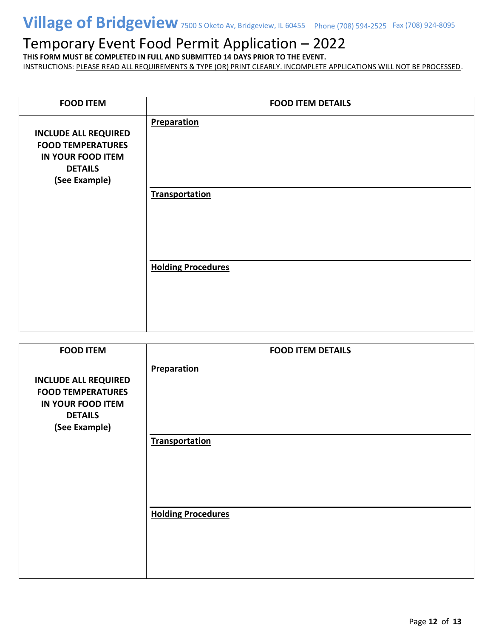**THIS FORM MUST BE COMPLETED IN FULL AND SUBMITTED 14 DAYS PRIOR TO THE EVENT.**

| <b>FOOD ITEM</b>                                                                                                       | <b>FOOD ITEM DETAILS</b>             |
|------------------------------------------------------------------------------------------------------------------------|--------------------------------------|
| <b>INCLUDE ALL REQUIRED</b><br><b>FOOD TEMPERATURES</b><br><b>IN YOUR FOOD ITEM</b><br><b>DETAILS</b><br>(See Example) | Preparation<br><b>Transportation</b> |
|                                                                                                                        |                                      |
|                                                                                                                        | <b>Holding Procedures</b>            |

| <b>FOOD ITEM</b>                                                                                                       | <b>FOOD ITEM DETAILS</b>  |  |  |
|------------------------------------------------------------------------------------------------------------------------|---------------------------|--|--|
| <b>INCLUDE ALL REQUIRED</b><br><b>FOOD TEMPERATURES</b><br><b>IN YOUR FOOD ITEM</b><br><b>DETAILS</b><br>(See Example) | Preparation               |  |  |
|                                                                                                                        | <b>Transportation</b>     |  |  |
|                                                                                                                        | <b>Holding Procedures</b> |  |  |